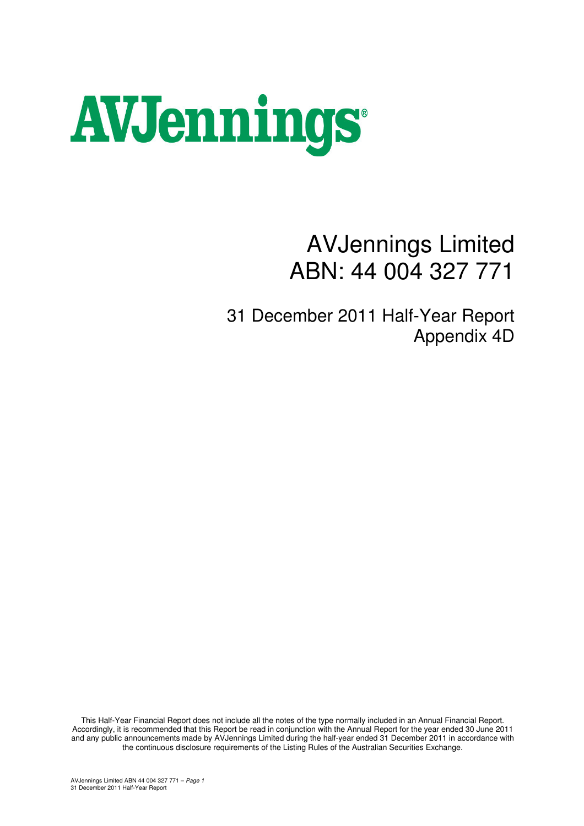

# AVJennings Limited ABN: 44 004 327 771

31 December 2011 Half-Year Report Appendix 4D

This Half-Year Financial Report does not include all the notes of the type normally included in an Annual Financial Report. Accordingly, it is recommended that this Report be read in conjunction with the Annual Report for the year ended 30 June 2011 and any public announcements made by AVJennings Limited during the half-year ended 31 December 2011 in accordance with the continuous disclosure requirements of the Listing Rules of the Australian Securities Exchange.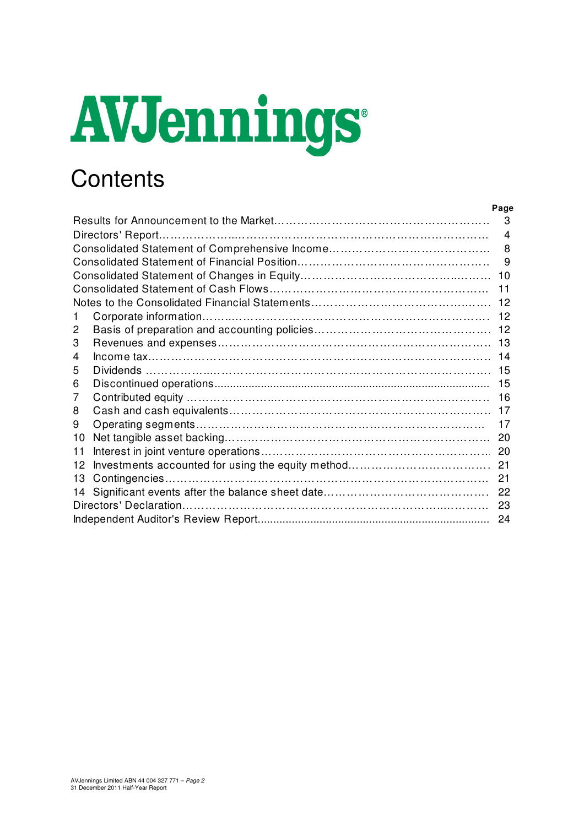# AVJennings

# **Contents**

|              | Page |
|--------------|------|
|              |      |
|              |      |
|              |      |
|              |      |
|              |      |
|              |      |
|              |      |
|              |      |
| $\mathbf{2}$ |      |
| 3            |      |
| 4            |      |
| 5            |      |
| 6            |      |
|              |      |
| 8            |      |
| 9            |      |
|              |      |
| 11           |      |
|              |      |
|              |      |
|              |      |
|              |      |
|              |      |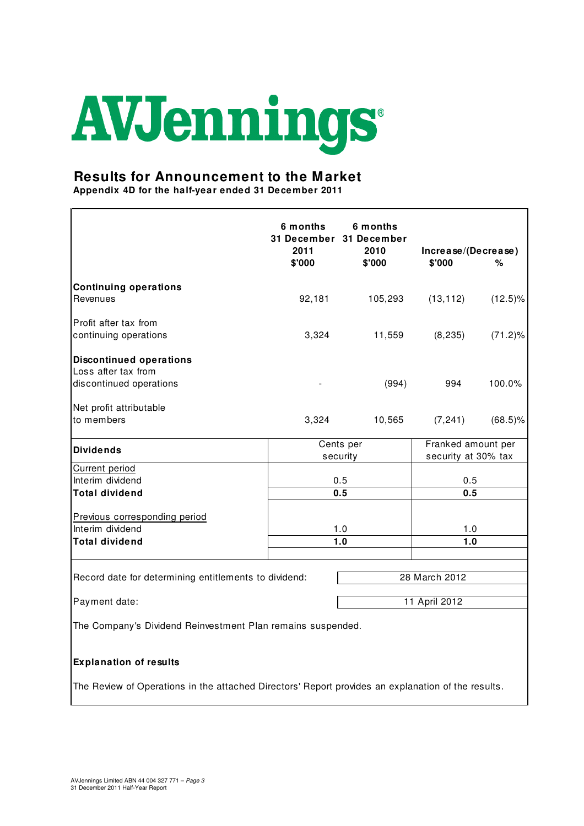# AVJennings

# **Results for Announcement to the Market**

**Appendix 4D for the half-year ended 31 December 2011**

|                                                                                                    | 6 months<br>2011<br>\$'000 | 6 months<br>31 December 31 December<br>2010<br>\$'000 | Increase/(Decrease)<br>\$'000 | ℅                  |
|----------------------------------------------------------------------------------------------------|----------------------------|-------------------------------------------------------|-------------------------------|--------------------|
| <b>Continuing operations</b><br>Revenues                                                           | 92,181                     | 105,293                                               | (13, 112)                     | $(12.5)\%$         |
|                                                                                                    |                            |                                                       |                               |                    |
| Profit after tax from                                                                              |                            |                                                       |                               |                    |
| continuing operations                                                                              | 3,324                      | 11,559                                                | (8, 235)                      | $(71.2)\%$         |
| <b>Discontinued operations</b>                                                                     |                            |                                                       |                               |                    |
| Loss after tax from                                                                                |                            |                                                       |                               |                    |
| discontinued operations                                                                            |                            | (994)                                                 | 994                           | 100.0%             |
| Net profit attributable                                                                            |                            |                                                       |                               |                    |
| to members                                                                                         | 3,324                      | 10,565                                                | (7, 241)                      | $(68.5)\%$         |
| <b>Dividends</b>                                                                                   |                            | Cents per                                             |                               | Franked amount per |
|                                                                                                    |                            | security                                              | security at 30% tax           |                    |
| Current period<br>Interim dividend                                                                 |                            | 0.5                                                   | 0.5                           |                    |
| <b>Total dividend</b>                                                                              |                            | 0.5                                                   | 0.5                           |                    |
|                                                                                                    |                            |                                                       |                               |                    |
| Previous corresponding period                                                                      |                            |                                                       |                               |                    |
| Interim dividend                                                                                   |                            | 1.0                                                   | 1.0                           |                    |
| <b>Total dividend</b>                                                                              |                            | 1.0                                                   | 1.0                           |                    |
|                                                                                                    |                            |                                                       |                               |                    |
| Record date for determining entitlements to dividend:                                              |                            |                                                       | 28 March 2012                 |                    |
| Payment date:                                                                                      |                            |                                                       | 11 April 2012                 |                    |
|                                                                                                    |                            |                                                       |                               |                    |
| The Company's Dividend Reinvestment Plan remains suspended.                                        |                            |                                                       |                               |                    |
| <b>Explanation of results</b>                                                                      |                            |                                                       |                               |                    |
| The Review of Operations in the attached Directors' Report provides an explanation of the results. |                            |                                                       |                               |                    |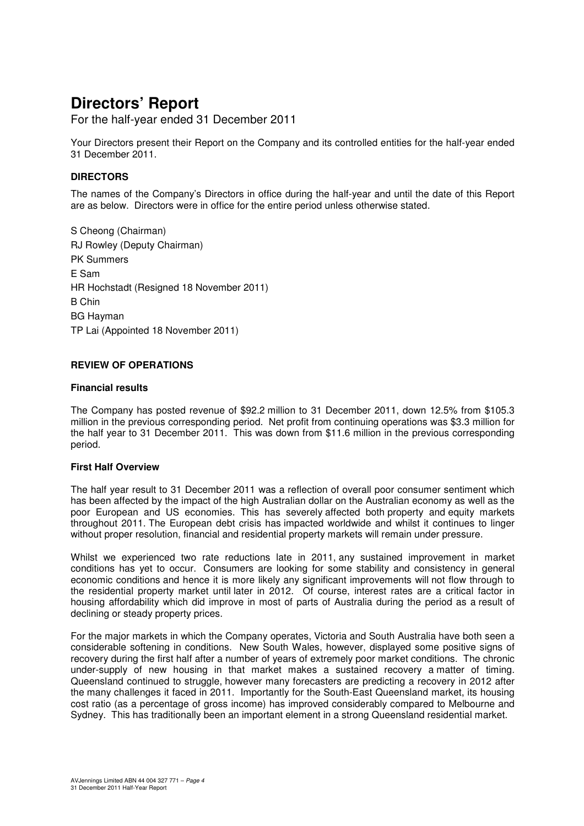# **Directors' Report**

For the half-year ended 31 December 2011

Your Directors present their Report on the Company and its controlled entities for the half-year ended 31 December 2011.

# **DIRECTORS**

The names of the Company's Directors in office during the half-year and until the date of this Report are as below. Directors were in office for the entire period unless otherwise stated.

S Cheong (Chairman) RJ Rowley (Deputy Chairman) PK Summers E Sam HR Hochstadt (Resigned 18 November 2011) B Chin BG Hayman TP Lai (Appointed 18 November 2011)

### **REVIEW OF OPERATIONS**

### **Financial results**

The Company has posted revenue of \$92.2 million to 31 December 2011, down 12.5% from \$105.3 million in the previous corresponding period. Net profit from continuing operations was \$3.3 million for the half year to 31 December 2011. This was down from \$11.6 million in the previous corresponding period.

### **First Half Overview**

The half year result to 31 December 2011 was a reflection of overall poor consumer sentiment which has been affected by the impact of the high Australian dollar on the Australian economy as well as the poor European and US economies. This has severely affected both property and equity markets throughout 2011. The European debt crisis has impacted worldwide and whilst it continues to linger without proper resolution, financial and residential property markets will remain under pressure.

Whilst we experienced two rate reductions late in 2011, any sustained improvement in market conditions has yet to occur. Consumers are looking for some stability and consistency in general economic conditions and hence it is more likely any significant improvements will not flow through to the residential property market until later in 2012. Of course, interest rates are a critical factor in housing affordability which did improve in most of parts of Australia during the period as a result of declining or steady property prices.

For the major markets in which the Company operates, Victoria and South Australia have both seen a considerable softening in conditions. New South Wales, however, displayed some positive signs of recovery during the first half after a number of years of extremely poor market conditions. The chronic under-supply of new housing in that market makes a sustained recovery a matter of timing. Queensland continued to struggle, however many forecasters are predicting a recovery in 2012 after the many challenges it faced in 2011. Importantly for the South-East Queensland market, its housing cost ratio (as a percentage of gross income) has improved considerably compared to Melbourne and Sydney. This has traditionally been an important element in a strong Queensland residential market.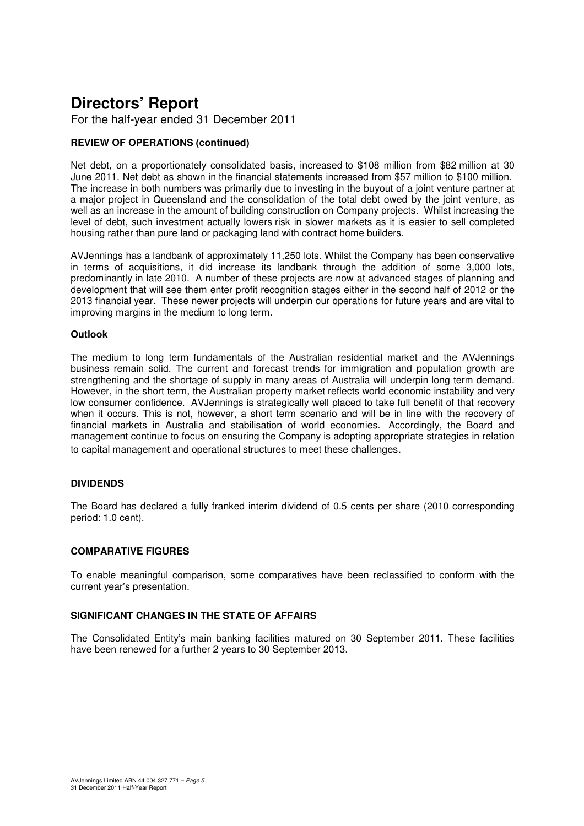# **Directors' Report**

For the half-year ended 31 December 2011

# **REVIEW OF OPERATIONS (continued)**

Net debt, on a proportionately consolidated basis, increased to \$108 million from \$82 million at 30 June 2011. Net debt as shown in the financial statements increased from \$57 million to \$100 million. The increase in both numbers was primarily due to investing in the buyout of a joint venture partner at a major project in Queensland and the consolidation of the total debt owed by the joint venture, as well as an increase in the amount of building construction on Company projects. Whilst increasing the level of debt, such investment actually lowers risk in slower markets as it is easier to sell completed housing rather than pure land or packaging land with contract home builders.

AVJennings has a landbank of approximately 11,250 lots. Whilst the Company has been conservative in terms of acquisitions, it did increase its landbank through the addition of some 3,000 lots, predominantly in late 2010. A number of these projects are now at advanced stages of planning and development that will see them enter profit recognition stages either in the second half of 2012 or the 2013 financial year. These newer projects will underpin our operations for future years and are vital to improving margins in the medium to long term.

### **Outlook**

The medium to long term fundamentals of the Australian residential market and the AVJennings business remain solid. The current and forecast trends for immigration and population growth are strengthening and the shortage of supply in many areas of Australia will underpin long term demand. However, in the short term, the Australian property market reflects world economic instability and very low consumer confidence. AVJennings is strategically well placed to take full benefit of that recovery when it occurs. This is not, however, a short term scenario and will be in line with the recovery of financial markets in Australia and stabilisation of world economies. Accordingly, the Board and management continue to focus on ensuring the Company is adopting appropriate strategies in relation to capital management and operational structures to meet these challenges.

### **DIVIDENDS**

The Board has declared a fully franked interim dividend of 0.5 cents per share (2010 corresponding period: 1.0 cent).

### **COMPARATIVE FIGURES**

To enable meaningful comparison, some comparatives have been reclassified to conform with the current year's presentation.

### **SIGNIFICANT CHANGES IN THE STATE OF AFFAIRS**

The Consolidated Entity's main banking facilities matured on 30 September 2011. These facilities have been renewed for a further 2 years to 30 September 2013.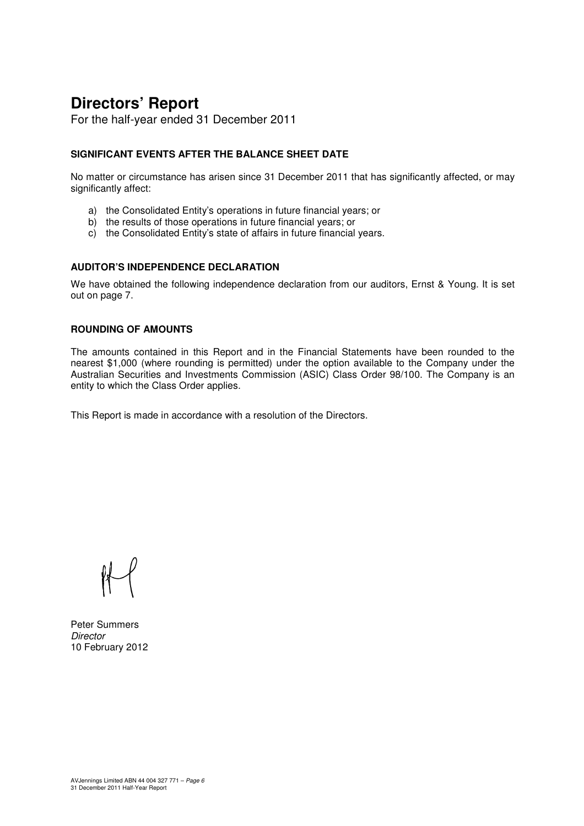# **Directors' Report**

For the half-year ended 31 December 2011

# **SIGNIFICANT EVENTS AFTER THE BALANCE SHEET DATE**

No matter or circumstance has arisen since 31 December 2011 that has significantly affected, or may significantly affect:

- a) the Consolidated Entity's operations in future financial years; or
- b) the results of those operations in future financial years; or
- c) the Consolidated Entity's state of affairs in future financial years.

### **AUDITOR'S INDEPENDENCE DECLARATION**

We have obtained the following independence declaration from our auditors, Ernst & Young. It is set out on page 7.

## **ROUNDING OF AMOUNTS**

The amounts contained in this Report and in the Financial Statements have been rounded to the nearest \$1,000 (where rounding is permitted) under the option available to the Company under the Australian Securities and Investments Commission (ASIC) Class Order 98/100. The Company is an entity to which the Class Order applies.

This Report is made in accordance with a resolution of the Directors.

Peter Summers **Director** 10 February 2012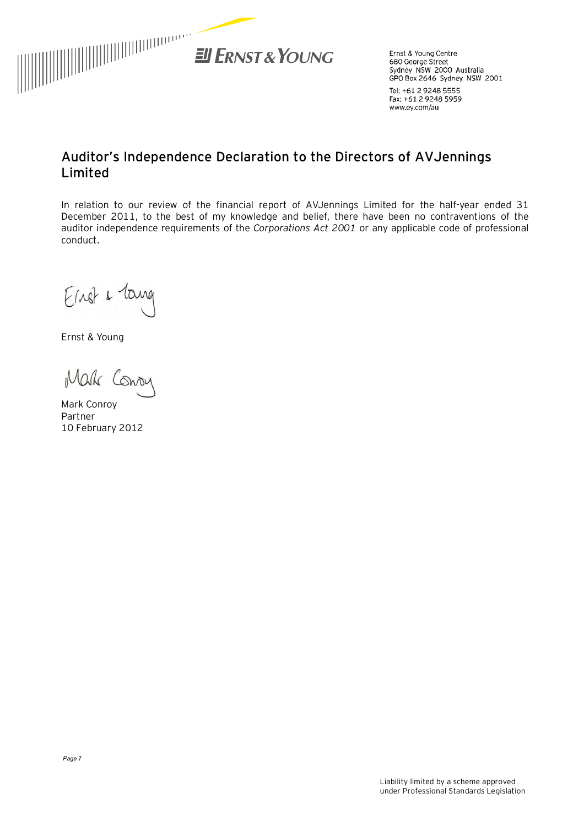

Ernst & Young Centre 680 George Street Sydney NSW 2000 Australia GPO Box 2646 Sydney NSW 2001

Tel: +61 2 9248 5555 Fax: +61 2 9248 5959 www.ey.com/au

# **Auditor's Independence Declaration to the Directors of AVJennings Limited**

In relation to our review of the financial report of AVJennings Limited for the half-year ended 31 December 2011, to the best of my knowledge and belief, there have been no contraventions of the auditor independence requirements of the *Corporations Act 2001* or any applicable code of professional conduct.

Einst & Tang

Ernst & Young

Mak Consu

Mark Conroy Partner 10 February 2012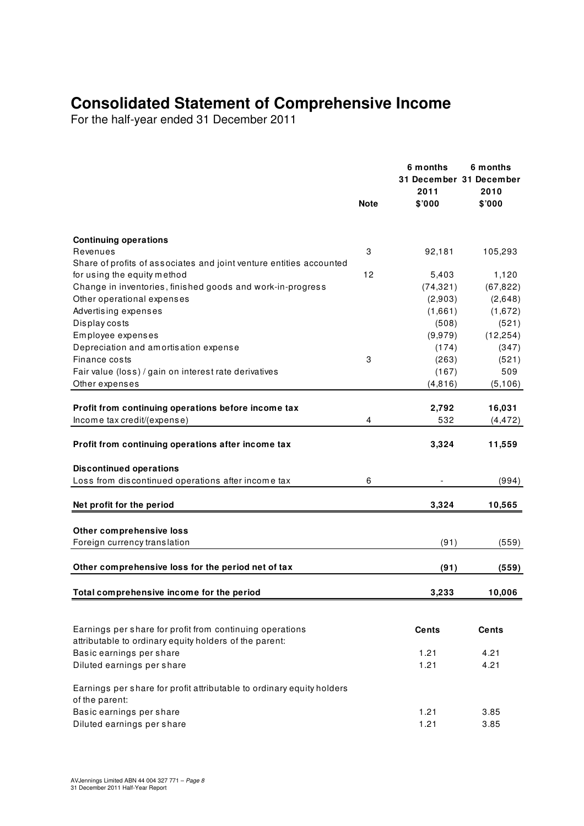# **Consolidated Statement of Comprehensive Income**

For the half-year ended 31 December 2011

|                                                                                                                 | <b>Note</b> | 6 months<br>2011<br>\$'000 | 6 months<br>31 December 31 December<br>2010<br>\$'000 |
|-----------------------------------------------------------------------------------------------------------------|-------------|----------------------------|-------------------------------------------------------|
|                                                                                                                 |             |                            |                                                       |
| <b>Continuing operations</b><br>Revenues<br>Share of profits of associates and joint venture entities accounted | 3           | 92,181                     | 105,293                                               |
| for using the equity method                                                                                     | 12          | 5,403                      | 1,120                                                 |
| Change in inventories, finished goods and work-in-progress                                                      |             | (74, 321)                  | (67, 822)                                             |
| Other operational expenses                                                                                      |             | (2,903)                    | (2,648)                                               |
| Advertising expenses                                                                                            |             | (1,661)                    | (1,672)                                               |
| Display costs                                                                                                   |             | (508)                      | (521)                                                 |
| Employee expenses                                                                                               |             | (9,979)                    | (12, 254)                                             |
| Depreciation and amortisation expense                                                                           |             | (174)                      | (347)                                                 |
| Finance costs                                                                                                   | 3           | (263)                      | (521)                                                 |
| Fair value (loss) / gain on interest rate derivatives                                                           |             | (167)                      | 509                                                   |
| Other expenses                                                                                                  |             | (4, 816)                   | (5, 106)                                              |
| Profit from continuing operations before income tax                                                             |             | 2,792                      | 16,031                                                |
| Income tax credit/(expense)                                                                                     | 4           | 532                        | (4, 472)                                              |
| Profit from continuing operations after income tax                                                              |             | 3,324                      | 11,559                                                |
| <b>Discontinued operations</b>                                                                                  |             |                            |                                                       |
| Loss from discontinued operations after income tax                                                              | 6           |                            | (994)                                                 |
| Net profit for the period                                                                                       |             | 3,324                      | 10,565                                                |
|                                                                                                                 |             |                            |                                                       |
| Other comprehensive loss                                                                                        |             |                            |                                                       |
| Foreign currency translation                                                                                    |             | (91)                       | (559)                                                 |
| Other comprehensive loss for the period net of tax                                                              |             | (91)                       | (559)                                                 |
| Total comprehensive income for the period                                                                       |             | 3,233                      | 10,006                                                |
|                                                                                                                 |             |                            |                                                       |
| Earnings per share for profit from continuing operations                                                        |             | <b>Cents</b>               | Cents                                                 |
| attributable to ordinary equity holders of the parent:                                                          |             |                            |                                                       |
| Basic earnings per share                                                                                        |             | 1.21                       | 4.21                                                  |
| Diluted earnings per share                                                                                      |             | 1.21                       | 4.21                                                  |
| Earnings per share for profit attributable to ordinary equity holders<br>of the parent:                         |             |                            |                                                       |
| Basic earnings per share                                                                                        |             | 1.21                       | 3.85                                                  |
| Diluted earnings per share                                                                                      |             | 1.21                       | 3.85                                                  |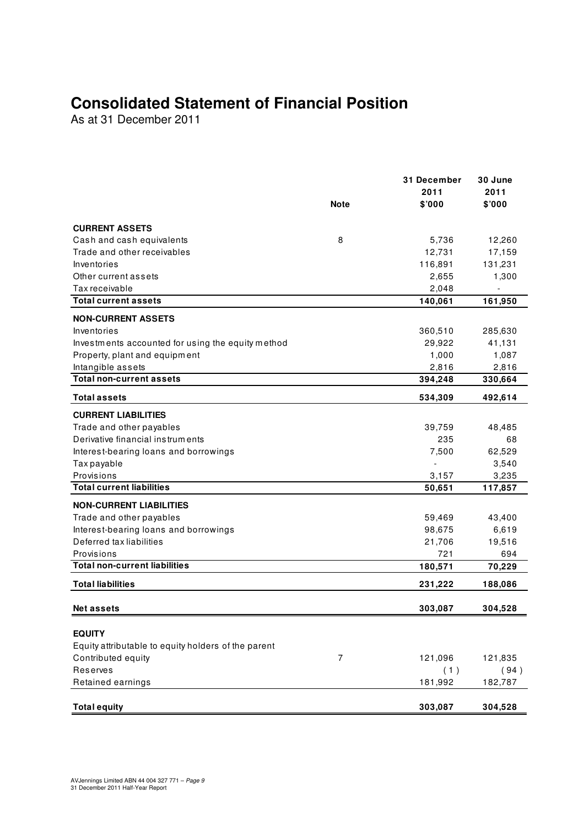# **Consolidated Statement of Financial Position**

As at 31 December 2011

|                                                     |             | 31 December | 30 June |
|-----------------------------------------------------|-------------|-------------|---------|
|                                                     |             | 2011        | 2011    |
|                                                     | <b>Note</b> | \$'000      | \$'000  |
| <b>CURRENT ASSETS</b>                               |             |             |         |
| Cash and cash equivalents                           | 8           | 5,736       | 12,260  |
| Trade and other receivables                         |             | 12,731      | 17,159  |
| Inventories                                         |             | 116,891     | 131,231 |
| Other current assets                                |             | 2,655       | 1,300   |
| Tax receivable                                      |             | 2,048       |         |
| <b>Total current assets</b>                         |             | 140,061     | 161,950 |
| <b>NON-CURRENT ASSETS</b>                           |             |             |         |
| Inventories                                         |             | 360,510     | 285,630 |
| Investments accounted for using the equity method   |             | 29,922      | 41,131  |
| Property, plant and equipment                       |             | 1,000       | 1,087   |
| Intangible assets                                   |             | 2,816       | 2,816   |
| <b>Total non-current assets</b>                     |             | 394,248     | 330,664 |
| <b>Total assets</b>                                 |             | 534,309     | 492,614 |
| <b>CURRENT LIABILITIES</b>                          |             |             |         |
| Trade and other payables                            |             | 39,759      | 48,485  |
| Derivative financial instruments                    |             | 235         | 68      |
| Interest-bearing loans and borrowings               |             | 7,500       | 62,529  |
| Tax payable                                         |             |             | 3,540   |
| Provisions                                          |             | 3,157       | 3,235   |
| <b>Total current liabilities</b>                    |             | 50,651      | 117,857 |
| <b>NON-CURRENT LIABILITIES</b>                      |             |             |         |
| Trade and other payables                            |             | 59,469      | 43,400  |
| Interest-bearing loans and borrowings               |             | 98,675      | 6,619   |
| Deferred tax liabilities                            |             | 21,706      | 19,516  |
| Provisions                                          |             | 721         | 694     |
| <b>Total non-current liabilities</b>                |             | 180,571     | 70,229  |
| <b>Total liabilities</b>                            |             | 231,222     | 188,086 |
| <b>Net assets</b>                                   |             | 303,087     | 304,528 |
|                                                     |             |             |         |
| <b>EQUITY</b>                                       |             |             |         |
| Equity attributable to equity holders of the parent |             |             |         |
| Contributed equity                                  | 7           | 121,096     | 121,835 |
| Reserves                                            |             | (1)         | (94)    |
| Retained earnings                                   |             | 181,992     | 182,787 |
| <b>Total equity</b>                                 |             | 303,087     | 304,528 |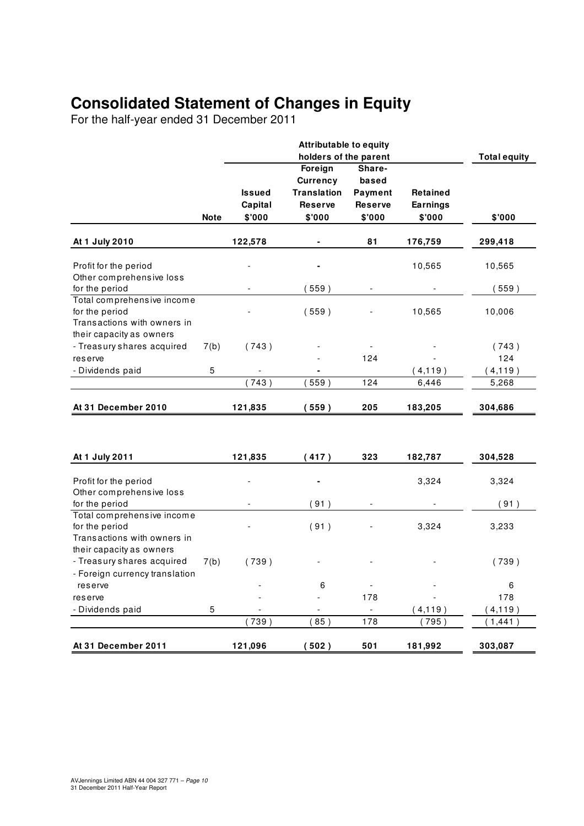# **Consolidated Statement of Changes in Equity**

For the half-year ended 31 December 2011

|                             |             |               | <b>Attributable to equity</b> |                |                 |                     |
|-----------------------------|-------------|---------------|-------------------------------|----------------|-----------------|---------------------|
|                             |             |               | holders of the parent         |                |                 | <b>Total equity</b> |
|                             |             |               | Foreign                       | Share-         |                 |                     |
|                             |             |               | <b>Currency</b>               | based          |                 |                     |
|                             |             | <b>Issued</b> | <b>Translation</b>            | Payment        | Retained        |                     |
|                             |             | Capital       | <b>Reserve</b>                | <b>Reserve</b> | <b>Earnings</b> |                     |
|                             | <b>Note</b> | \$'000        | \$'000                        | \$'000         | \$'000          | \$'000              |
| At 1 July 2010              |             | 122,578       |                               | 81             | 176,759         | 299,418             |
| Profit for the period       |             |               |                               |                | 10,565          | 10,565              |
| Other comprehensive loss    |             |               |                               |                |                 |                     |
| for the period              |             |               | (559)                         |                |                 | 559)                |
| Total comprehensive income  |             |               |                               |                |                 |                     |
| for the period              |             |               | (559)                         |                | 10,565          | 10,006              |
| Transactions with owners in |             |               |                               |                |                 |                     |
| their capacity as owners    |             |               |                               |                |                 |                     |
| - Treasury shares acquired  | 7(b)        | (743)         |                               |                |                 | (743)               |
| reserve                     |             |               |                               | 124            |                 | 124                 |
| - Dividends paid            | 5           |               |                               |                | (4, 119)        | (4, 119)            |
|                             |             | 743)          | 559)                          | 124            | 6,446           | 5,268               |
| At 31 December 2010         |             | 121,835       | (559)                         | 205            | 183,205         | 304,686             |
|                             |             |               |                               |                |                 |                     |
| At 1 July 2011              |             | 121,835       | (417)                         | 323            | 182,787         | 304,528             |
| Profit for the period       |             |               |                               |                | 3,324           |                     |
| Other comprehensive loss    |             |               |                               |                |                 | 3,324               |
| for the period              |             |               | (91)                          |                |                 | (91)                |
| Total comprehensive income  |             |               |                               |                |                 |                     |
| for the period              |             |               | (91)                          |                | 3,324           | 3,233               |
| Transactions with owners in |             |               |                               |                |                 |                     |
|                             |             |               |                               |                |                 |                     |

- Treasury shares acquired 7(b) (739) - Treasury shares acquired 7(b) (739)

reserve  $\sim$  6  $\sim$  6  $\sim$  -  $\sim$  6  $\sim$ reserve - - 178 - 178 - Dividends paid  $\begin{array}{cccc} 5 & - & - & - & - & - & (4,119) & (4,119) \end{array}$ 

**At 31 December 2011 121,096 ( 502 ) 501 181,992 303,087** 

 $( 739 )$   $( 85 )$   $178$   $( 795 )$   $( 1,441 )$ 

their capacity as owners

- Foreign currency translation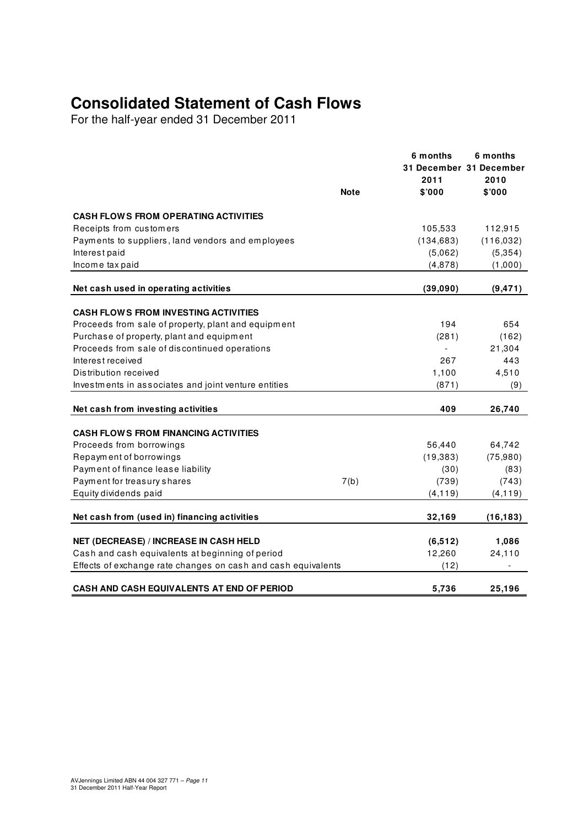# **Consolidated Statement of Cash Flows**

For the half-year ended 31 December 2011

|                                                                                                                   |             | 6 months<br>31 December 31 December<br>2011 | 6 months<br>2010 |
|-------------------------------------------------------------------------------------------------------------------|-------------|---------------------------------------------|------------------|
|                                                                                                                   | <b>Note</b> | \$'000                                      | \$'000           |
| <b>CASH FLOWS FROM OPERATING ACTIVITIES</b>                                                                       |             |                                             |                  |
| Receipts from customers                                                                                           |             | 105,533                                     | 112,915          |
| Payments to suppliers, land vendors and employees                                                                 |             | (134, 683)                                  | (116, 032)       |
| Interest paid                                                                                                     |             | (5,062)                                     | (5, 354)         |
| Income tax paid                                                                                                   |             | (4,878)                                     | (1,000)          |
| Net cash used in operating activities                                                                             |             | (39,090)                                    | (9, 471)         |
| <b>CASH FLOWS FROM INVESTING ACTIVITIES</b>                                                                       |             |                                             |                  |
| Proceeds from sale of property, plant and equipment                                                               |             | 194                                         | 654              |
| Purchase of property, plant and equipment                                                                         |             | (281)                                       | (162)            |
| Proceeds from sale of discontinued operations                                                                     |             |                                             | 21,304           |
| Interest received                                                                                                 |             | 267                                         | 443              |
| Distribution received                                                                                             |             | 1,100                                       | 4,510            |
| Investments in associates and joint venture entities                                                              |             | (871)                                       | (9)              |
|                                                                                                                   |             |                                             |                  |
| Net cash from investing activities                                                                                |             | 409                                         | 26,740           |
| <b>CASH FLOWS FROM FINANCING ACTIVITIES</b>                                                                       |             |                                             |                  |
| Proceeds from borrowings                                                                                          |             | 56,440                                      | 64,742           |
| Repayment of borrowings                                                                                           |             | (19, 383)                                   | (75,980)         |
| Payment of finance lease liability                                                                                |             | (30)                                        | (83)             |
| Payment for treasury shares                                                                                       | 7(b)        | (739)                                       | (743)            |
| Equity dividends paid                                                                                             |             | (4, 119)                                    | (4, 119)         |
| Net cash from (used in) financing activities                                                                      |             | 32,169                                      | (16, 183)        |
|                                                                                                                   |             |                                             |                  |
| <b>NET (DECREASE) / INCREASE IN CASH HELD</b>                                                                     |             | (6, 512)                                    | 1,086            |
| Cash and cash equivalents at beginning of period<br>Effects of exchange rate changes on cash and cash equivalents |             | 12,260<br>(12)                              | 24,110           |
|                                                                                                                   |             |                                             |                  |
| <b>CASH AND CASH EQUIVALENTS AT END OF PERIOD</b>                                                                 |             | 5.736                                       | 25,196           |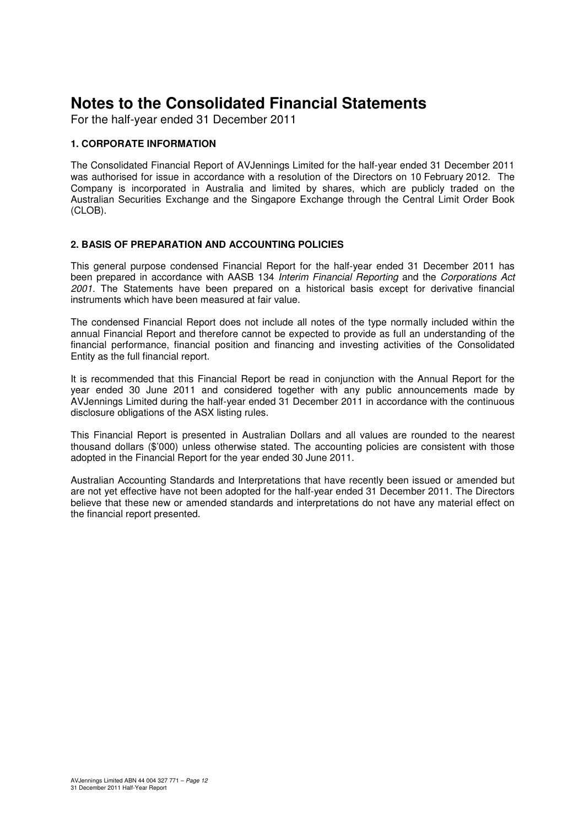For the half-year ended 31 December 2011

# **1. CORPORATE INFORMATION**

The Consolidated Financial Report of AVJennings Limited for the half-year ended 31 December 2011 was authorised for issue in accordance with a resolution of the Directors on 10 February 2012. The Company is incorporated in Australia and limited by shares, which are publicly traded on the Australian Securities Exchange and the Singapore Exchange through the Central Limit Order Book (CLOB).

### **2. BASIS OF PREPARATION AND ACCOUNTING POLICIES**

This general purpose condensed Financial Report for the half-year ended 31 December 2011 has been prepared in accordance with AASB 134 Interim Financial Reporting and the Corporations Act 2001. The Statements have been prepared on a historical basis except for derivative financial instruments which have been measured at fair value.

The condensed Financial Report does not include all notes of the type normally included within the annual Financial Report and therefore cannot be expected to provide as full an understanding of the financial performance, financial position and financing and investing activities of the Consolidated Entity as the full financial report.

It is recommended that this Financial Report be read in conjunction with the Annual Report for the year ended 30 June 2011 and considered together with any public announcements made by AVJennings Limited during the half-year ended 31 December 2011 in accordance with the continuous disclosure obligations of the ASX listing rules.

This Financial Report is presented in Australian Dollars and all values are rounded to the nearest thousand dollars (\$'000) unless otherwise stated. The accounting policies are consistent with those adopted in the Financial Report for the year ended 30 June 2011.

Australian Accounting Standards and Interpretations that have recently been issued or amended but are not yet effective have not been adopted for the half-year ended 31 December 2011. The Directors believe that these new or amended standards and interpretations do not have any material effect on the financial report presented.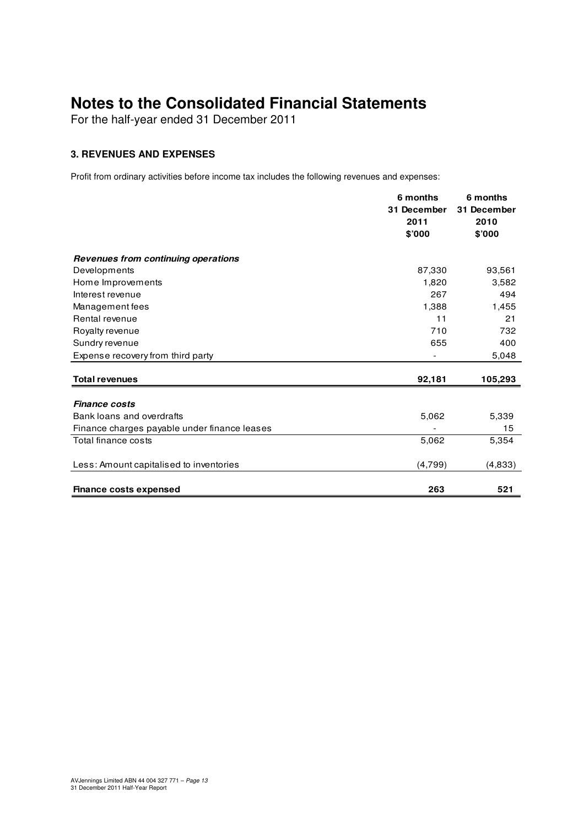For the half-year ended 31 December 2011

# **3. REVENUES AND EXPENSES**

Profit from ordinary activities before income tax includes the following revenues and expenses:

|                                              | 6 months    | 6 months    |
|----------------------------------------------|-------------|-------------|
|                                              | 31 December | 31 December |
|                                              | 2011        | 2010        |
|                                              | \$'000      | \$'000      |
|                                              |             |             |
| Revenues from continuing operations          |             |             |
| Developments                                 | 87,330      | 93,561      |
| Home Improvements                            | 1,820       | 3,582       |
| Interest revenue                             | 267         | 494         |
| Management fees                              | 1,388       | 1,455       |
| Rental revenue                               | 11          | 21          |
| Royalty revenue                              | 710         | 732         |
| Sundry revenue                               | 655         | 400         |
| Expense recovery from third party            |             | 5,048       |
|                                              |             |             |
| <b>Total revenues</b>                        | 92,181      | 105,293     |
|                                              |             |             |
| <b>Finance costs</b>                         |             |             |
| Bank loans and overdrafts                    | 5,062       | 5,339       |
| Finance charges payable under finance leases |             | 15          |
| Total finance costs                          | 5,062       | 5,354       |
| Less: Amount capitalised to inventories      | (4,799)     | (4,833)     |
|                                              |             |             |
| <b>Finance costs expensed</b>                | 263         | 521         |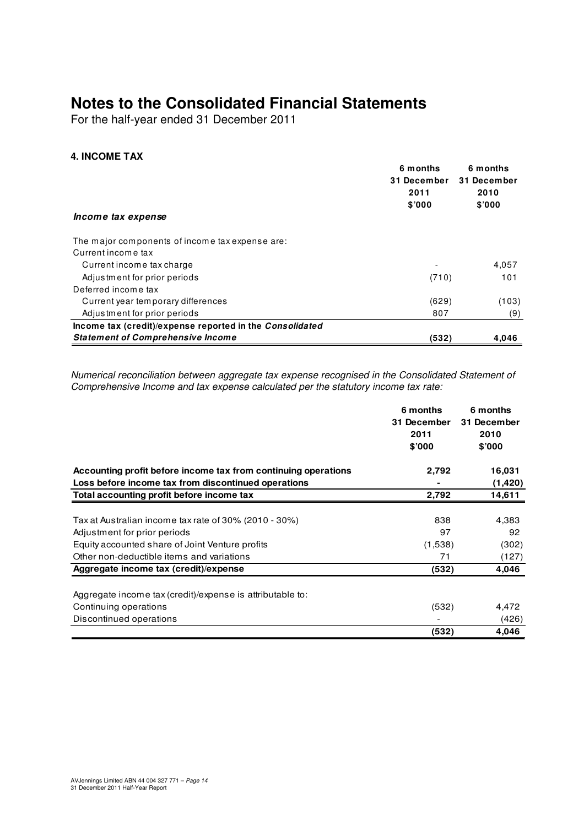For the half-year ended 31 December 2011

# **4. INCOME TAX**

|                                                          | 6 months    | 6 months    |  |
|----------------------------------------------------------|-------------|-------------|--|
|                                                          | 31 December | 31 December |  |
|                                                          | 2011        | 2010        |  |
|                                                          | \$'000      | \$'000      |  |
| Income tax expense                                       |             |             |  |
| The major components of income tax expense are:          |             |             |  |
| Current income tax                                       |             |             |  |
| Current income tax charge                                |             | 4,057       |  |
| Adjustment for prior periods                             | (710)       | 101         |  |
| Deferred income tax                                      |             |             |  |
| Current year temporary differences                       | (629)       | (103)       |  |
| Adjustment for prior periods                             | 807         | (9)         |  |
| Income tax (credit)/expense reported in the Consolidated |             |             |  |
| <b>Statement of Comprehensive Income</b>                 | (532)       | 4,046       |  |

Numerical reconciliation between aggregate tax expense recognised in the Consolidated Statement of Comprehensive Income and tax expense calculated per the statutory income tax rate:

|                                                                | 6 months    | 6 months    |
|----------------------------------------------------------------|-------------|-------------|
|                                                                | 31 December | 31 December |
|                                                                | 2011        | 2010        |
|                                                                | \$'000      | \$'000      |
| Accounting profit before income tax from continuing operations | 2,792       | 16,031      |
| Loss before income tax from discontinued operations            |             | (1,420)     |
| Total accounting profit before income tax                      | 2,792       | 14,611      |
|                                                                |             |             |
| Tax at Australian income tax rate of 30% (2010 - 30%)          | 838         | 4,383       |
| Adjustment for prior periods                                   | 97          | 92          |
| Equity accounted share of Joint Venture profits                | (1,538)     | (302)       |
| Other non-deductible items and variations                      | 71          | (127)       |
| Aggregate income tax (credit)/expense                          | (532)       | 4,046       |
|                                                                |             |             |
| Aggregate income tax (credit)/expense is attributable to:      |             |             |
| Continuing operations                                          | (532)       | 4,472       |
| Discontinued operations                                        |             | (426)       |
|                                                                | (532)       | 4,046       |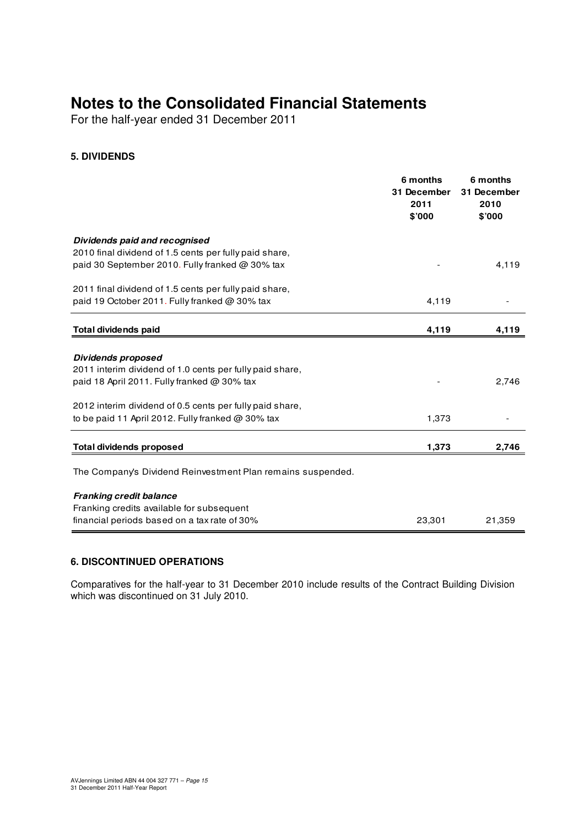For the half-year ended 31 December 2011

# **5. DIVIDENDS**

|                                                                                                                                 | 6 months<br>31 December<br>2011<br>\$'000 | 6 months<br>31 December<br>2010<br>\$'000 |
|---------------------------------------------------------------------------------------------------------------------------------|-------------------------------------------|-------------------------------------------|
| Dividends paid and recognised                                                                                                   |                                           |                                           |
| 2010 final dividend of 1.5 cents per fully paid share,<br>paid 30 September 2010. Fully franked @ 30% tax                       |                                           | 4,119                                     |
| 2011 final dividend of 1.5 cents per fully paid share,                                                                          |                                           |                                           |
| paid 19 October 2011. Fully franked @ 30% tax                                                                                   | 4,119                                     |                                           |
| <b>Total dividends paid</b>                                                                                                     | 4,119                                     | 4,119                                     |
| Dividends proposed<br>2011 interim dividend of 1.0 cents per fully paid share,<br>paid 18 April 2011. Fully franked $@$ 30% tax |                                           | 2,746                                     |
| 2012 interim dividend of 0.5 cents per fully paid share,<br>to be paid 11 April 2012. Fully franked $@$ 30% tax                 | 1,373                                     |                                           |
| <b>Total dividends proposed</b>                                                                                                 | 1,373                                     | 2,746                                     |
| The Company's Dividend Reinvestment Plan remains suspended.                                                                     |                                           |                                           |
| <b>Franking credit balance</b>                                                                                                  |                                           |                                           |
| Franking credits available for subsequent                                                                                       |                                           |                                           |
| financial periods based on a tax rate of 30%                                                                                    | 23,301                                    | 21,359                                    |

# **6. DISCONTINUED OPERATIONS**

Comparatives for the half-year to 31 December 2010 include results of the Contract Building Division which was discontinued on 31 July 2010.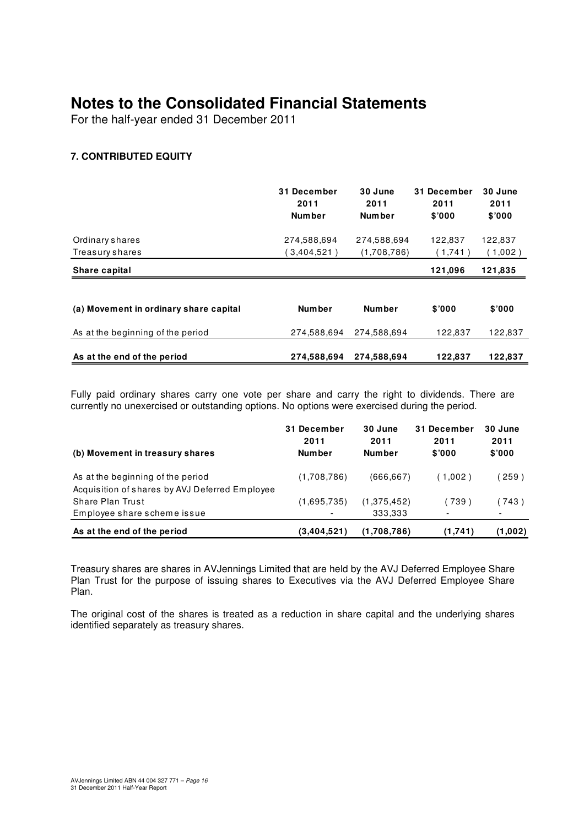For the half-year ended 31 December 2011

# **7. CONTRIBUTED EQUITY**

|                                        | 31 December<br>2011<br><b>Number</b> | 30 June<br>2011<br><b>Number</b> | <b>December</b><br>31<br>2011<br>\$000 | 30 June<br>2011<br>\$'000 |
|----------------------------------------|--------------------------------------|----------------------------------|----------------------------------------|---------------------------|
| Ordinary shares                        | 274,588,694                          | 274,588,694                      | 122.837                                | 122,837                   |
| Treasury shares                        | $3,404,521$ )                        | (1,708,786)                      | (1.741)                                | (1,002)                   |
| Share capital                          |                                      |                                  | 121.096                                | 121,835                   |
|                                        |                                      |                                  |                                        |                           |
| (a) Movement in ordinary share capital | <b>Number</b>                        | <b>Number</b>                    | \$'000                                 | \$'000                    |
| As at the beginning of the period      | 274,588,694                          | 274.588.694                      | 122,837                                | 122,837                   |
| As at the end of the period            | 274,588,694                          | 274.588.694                      | 122.837                                | 122.837                   |

Fully paid ordinary shares carry one vote per share and carry the right to dividends. There are currently no unexercised or outstanding options. No options were exercised during the period.

| (b) Movement in treasury shares                | 31 December<br>2011<br><b>Number</b> | 30 June<br>2011<br><b>Number</b> | 31 December<br>2011<br>\$7000 | 30 June<br>2011<br>\$'000 |
|------------------------------------------------|--------------------------------------|----------------------------------|-------------------------------|---------------------------|
| As at the beginning of the period              | (1,708,786)                          | (666, 667)                       | (1.002)                       | 259)                      |
| Acquisition of shares by AVJ Deferred Employee |                                      |                                  |                               |                           |
| Share Plan Trust                               | (1,695,735)                          | (1,375,452)                      | (739)                         | (743)                     |
| Employee share scheme issue                    | $\overline{\phantom{0}}$             | 333,333                          | $\overline{\phantom{0}}$      |                           |
| As at the end of the period                    | (3,404,521)                          | (1,708,786)                      | (1,741)                       | (1,002)                   |

Treasury shares are shares in AVJennings Limited that are held by the AVJ Deferred Employee Share Plan Trust for the purpose of issuing shares to Executives via the AVJ Deferred Employee Share Plan.

The original cost of the shares is treated as a reduction in share capital and the underlying shares identified separately as treasury shares.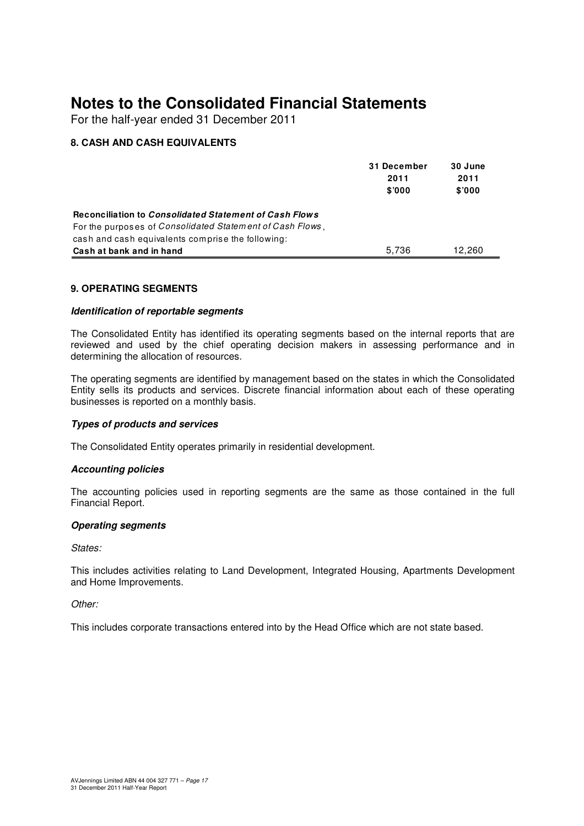For the half-year ended 31 December 2011

# **8. CASH AND CASH EQUIVALENTS**

|                                                                                                                                                                                  | 31 December<br>2011<br>\$000 | 30 June<br>2011<br>\$'000 |
|----------------------------------------------------------------------------------------------------------------------------------------------------------------------------------|------------------------------|---------------------------|
| Reconciliation to Consolidated Statement of Cash Flows<br>For the purposes of <i>Consolidated Statement of Cash Flows</i> ,<br>cash and cash equivalents comprise the following: |                              |                           |
| Cash at bank and in hand                                                                                                                                                         | 5.736                        | 12.260                    |

# **9. OPERATING SEGMENTS**

### **Identification of reportable segments**

The Consolidated Entity has identified its operating segments based on the internal reports that are reviewed and used by the chief operating decision makers in assessing performance and in determining the allocation of resources.

The operating segments are identified by management based on the states in which the Consolidated Entity sells its products and services. Discrete financial information about each of these operating businesses is reported on a monthly basis.

### **Types of products and services**

The Consolidated Entity operates primarily in residential development.

### **Accounting policies**

The accounting policies used in reporting segments are the same as those contained in the full Financial Report.

### **Operating segments**

States:

This includes activities relating to Land Development, Integrated Housing, Apartments Development and Home Improvements.

### Other:

This includes corporate transactions entered into by the Head Office which are not state based.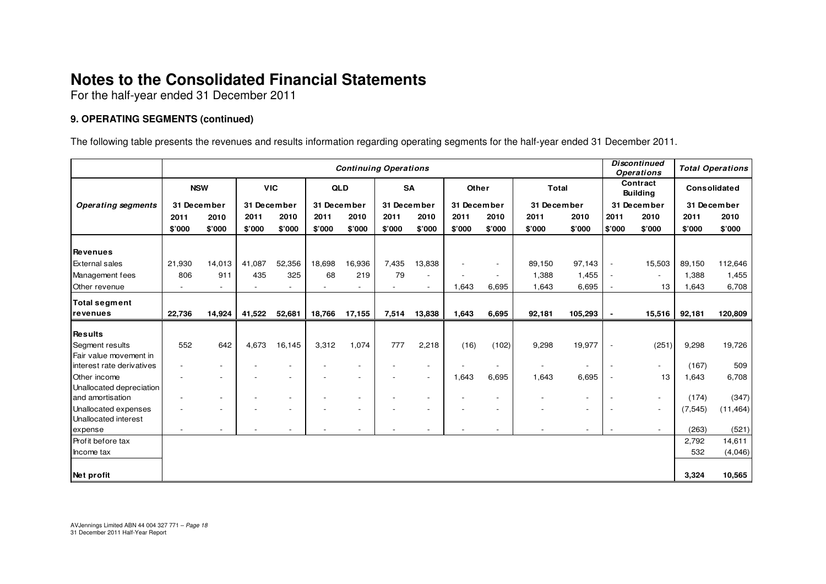For the half-year ended 31 December 2011

# **9. OPERATING SEGMENTS (continued)**

The following table presents the revenues and results information regarding operating segments for the half-year ended 31 December 2011.

|                                 | <b>Continuing Operations</b> |                          |             |                          |             |        |             |                          | <b>Discontinued</b><br><b>Operations</b> |        | <b>Total Operations</b> |                          |                             |                          |              |           |
|---------------------------------|------------------------------|--------------------------|-------------|--------------------------|-------------|--------|-------------|--------------------------|------------------------------------------|--------|-------------------------|--------------------------|-----------------------------|--------------------------|--------------|-----------|
|                                 | <b>NSW</b>                   |                          | <b>VIC</b>  |                          | <b>QLD</b>  |        | <b>SA</b>   |                          | Other                                    |        | <b>Total</b>            |                          | Contract<br><b>Building</b> |                          | Consolidated |           |
| <b>Operating segments</b>       |                              | 31 December              | 31 December |                          | 31 December |        | 31 December |                          | 31 December                              |        | 31 December             |                          | 31 December                 |                          | 31 December  |           |
|                                 | 2011                         | 2010                     | 2011        | 2010                     | 2011        | 2010   | 2011        | 2010                     | 2011                                     | 2010   | 2011                    | 2010                     | 2011                        | 2010                     | 2011         | 2010      |
|                                 | \$'000                       | \$'000                   | \$'000      | \$'000                   | \$'000      | \$'000 | \$'000      | \$'000                   | \$'000                                   | \$'000 | \$'000                  | \$'000                   | \$'000                      | \$'000                   | \$'000       | \$'000    |
| Revenues                        |                              |                          |             |                          |             |        |             |                          |                                          |        |                         |                          |                             |                          |              |           |
| <b>External sales</b>           | 21,930                       | 14,013                   | 41,087      | 52,356                   | 18,698      | 16,936 | 7,435       | 13,838                   |                                          |        | 89,150                  | 97,143                   | $\overline{\phantom{a}}$    | 15,503                   | 89,150       | 112,646   |
| Management fees                 | 806                          | 911                      | 435         | 325                      | 68          | 219    | 79          |                          |                                          |        | 1,388                   | 1,455                    | $\overline{\phantom{a}}$    | $\overline{\phantom{a}}$ | 1,388        | 1,455     |
| Other revenue                   |                              |                          |             |                          |             |        |             |                          | 1,643                                    | 6,695  | 1,643                   | 6,695                    |                             | 13                       | 1,643        | 6,708     |
|                                 |                              |                          |             |                          |             |        |             |                          |                                          |        |                         |                          |                             |                          |              |           |
| <b>Total segment</b>            |                              |                          |             |                          |             |        |             |                          |                                          |        |                         |                          |                             |                          |              |           |
| revenues                        | 22,736                       | 14,924                   | 41,522      | 52,681                   | 18,766      | 17,155 | 7,514       | 13,838                   | 1,643                                    | 6,695  | 92,181                  | 105,293                  | $\blacksquare$              | 15,516                   | 92,181       | 120,809   |
| <b>Results</b>                  |                              |                          |             |                          |             |        |             |                          |                                          |        |                         |                          |                             |                          |              |           |
| Segment results                 | 552                          | 642                      | 4,673       | 16,145                   | 3,312       | 1,074  | 777         | 2,218                    | (16)                                     | (102)  | 9,298                   | 19,977                   | $\overline{\phantom{a}}$    | (251)                    | 9,298        | 19,726    |
| Fair value movement in          |                              |                          |             |                          |             |        |             |                          |                                          |        |                         |                          |                             |                          |              |           |
| interest rate derivatives       |                              | $\overline{\phantom{a}}$ |             | $\overline{\phantom{a}}$ |             |        |             |                          |                                          |        |                         | $\overline{\phantom{a}}$ | $\overline{\phantom{a}}$    | $\overline{\phantom{a}}$ | (167)        | 509       |
| Other income                    |                              |                          |             | $\overline{\phantom{a}}$ |             |        |             | $\overline{\phantom{a}}$ | 1,643                                    | 6,695  | 1,643                   | 6,695                    |                             | 13                       | 1,643        | 6,708     |
| Unallocated depreciation        |                              |                          |             |                          |             |        |             |                          |                                          |        |                         |                          |                             |                          |              |           |
| and amortisation                |                              | $\overline{\phantom{a}}$ |             | $\blacksquare$           |             |        |             |                          |                                          |        |                         | $\overline{\phantom{a}}$ |                             | $\overline{\phantom{a}}$ | (174)        | (347)     |
| Unallocated expenses            |                              |                          |             | $\overline{\phantom{a}}$ |             |        |             |                          |                                          |        |                         | $\overline{\phantom{a}}$ |                             | $\overline{\phantom{a}}$ | (7, 545)     | (11, 464) |
| Unallocated interest<br>expense |                              |                          |             |                          |             |        |             |                          |                                          |        |                         | $\overline{\phantom{a}}$ | $\blacksquare$              | $\overline{\phantom{a}}$ | (263)        | (521)     |
| Profit before tax               |                              |                          |             |                          |             |        |             |                          |                                          |        |                         |                          |                             |                          | 2,792        | 14,611    |
| Income tax                      |                              |                          |             |                          |             |        |             |                          |                                          |        |                         |                          |                             |                          | 532          | (4,046)   |
|                                 |                              |                          |             |                          |             |        |             |                          |                                          |        |                         |                          |                             |                          |              |           |
| Net profit                      |                              |                          |             |                          |             |        |             |                          |                                          |        |                         |                          |                             |                          | 3,324        | 10,565    |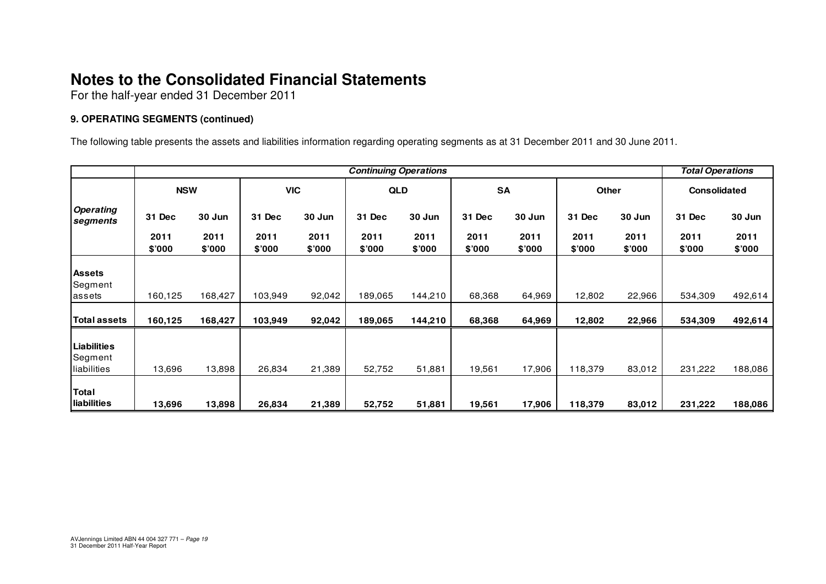For the half-year ended 31 December 2011

# **9. OPERATING SEGMENTS (continued)**

The following table presents the assets and liabilities information regarding operating segments as at 31 December 2011 and 30 June 2011.

|                                              | <b>Continuing Operations</b> |                |                |                |                |                |                |                |                |                | <b>Total Operations</b> |                |
|----------------------------------------------|------------------------------|----------------|----------------|----------------|----------------|----------------|----------------|----------------|----------------|----------------|-------------------------|----------------|
|                                              | <b>NSW</b>                   |                | <b>VIC</b>     |                | QLD            |                | <b>SA</b>      |                | <b>Other</b>   |                | <b>Consolidated</b>     |                |
| <b>Operating</b><br>segments                 | 31 Dec                       | 30 Jun         | 31 Dec         | 30 Jun         | 31 Dec         | 30 Jun         | 31 Dec         | 30 Jun         | 31 Dec         | 30 Jun         | 31 Dec                  | 30 Jun         |
|                                              | 2011<br>\$'000               | 2011<br>\$'000 | 2011<br>\$'000 | 2011<br>\$'000 | 2011<br>\$'000 | 2011<br>\$'000 | 2011<br>\$7000 | 2011<br>\$'000 | 2011<br>\$7000 | 2011<br>\$'000 | 2011<br>\$'000          | 2011<br>\$'000 |
| <b>Assets</b><br>Segment                     |                              |                |                |                |                |                |                |                |                |                |                         |                |
| lassets                                      | 160,125                      | 168,427        | 103,949        | 92,042         | 189,065        | 144,210        | 68,368         | 64,969         | 12,802         | 22,966         | 534,309                 | 492,614        |
| <b>Total assets</b>                          | 160,125                      | 168,427        | 103,949        | 92,042         | 189,065        | 144,210        | 68,368         | 64,969         | 12,802         | 22,966         | 534,309                 | 492,614        |
| <b>Liabilities</b><br>Segment<br>liabilities | 13,696                       | 13,898         | 26,834         | 21,389         | 52,752         | 51,881         | 19,561         | 17,906         | 118,379        | 83,012         | 231,222                 | 188,086        |
| Total<br><b>Iliabilities</b>                 | 13,696                       | 13,898         | 26,834         | 21,389         | 52,752         | 51,881         | 19,561         | 17,906         | 118,379        | 83,012         | 231,222                 | 188,086        |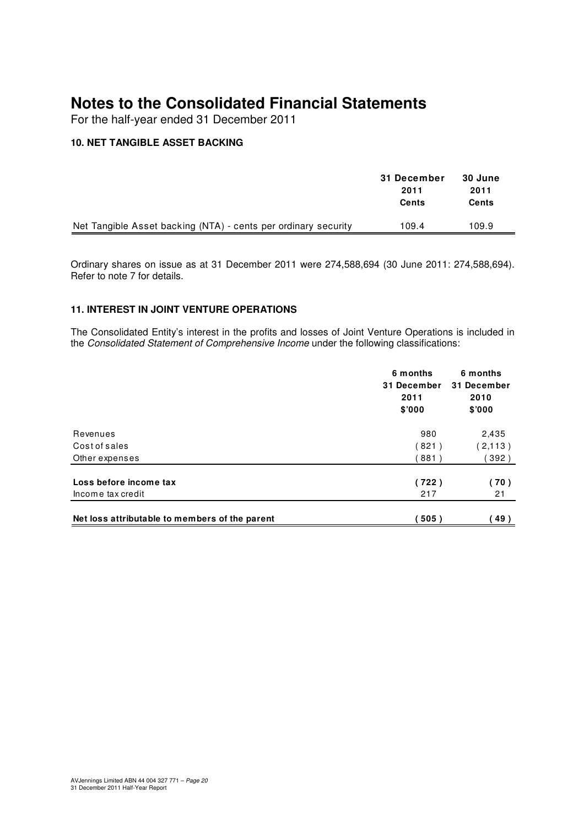For the half-year ended 31 December 2011

# **10. NET TANGIBLE ASSET BACKING**

|                                                                | 31 December<br>2011<br>Cents | 30 June<br>2011<br>Cents |  |
|----------------------------------------------------------------|------------------------------|--------------------------|--|
| Net Tangible Asset backing (NTA) - cents per ordinary security | 109.4                        | 109.9                    |  |

Ordinary shares on issue as at 31 December 2011 were 274,588,694 (30 June 2011: 274,588,694). Refer to note 7 for details.

### **11. INTEREST IN JOINT VENTURE OPERATIONS**

The Consolidated Entity's interest in the profits and losses of Joint Venture Operations is included in the Consolidated Statement of Comprehensive Income under the following classifications:

|                                                | 6 months<br>31 December<br>2011<br>\$7000 | 6 months<br>31 December<br>2010<br>\$7000 |
|------------------------------------------------|-------------------------------------------|-------------------------------------------|
| Revenues                                       | 980                                       | 2,435                                     |
| Cost of sales                                  | (821)                                     | (2,113)                                   |
| Other expenses                                 | 881)                                      | 392)                                      |
| Loss before income tax                         | (722)                                     | (70)                                      |
| Income tax credit                              | 217                                       | 21                                        |
| Net loss attributable to members of the parent | 505)                                      | 49)                                       |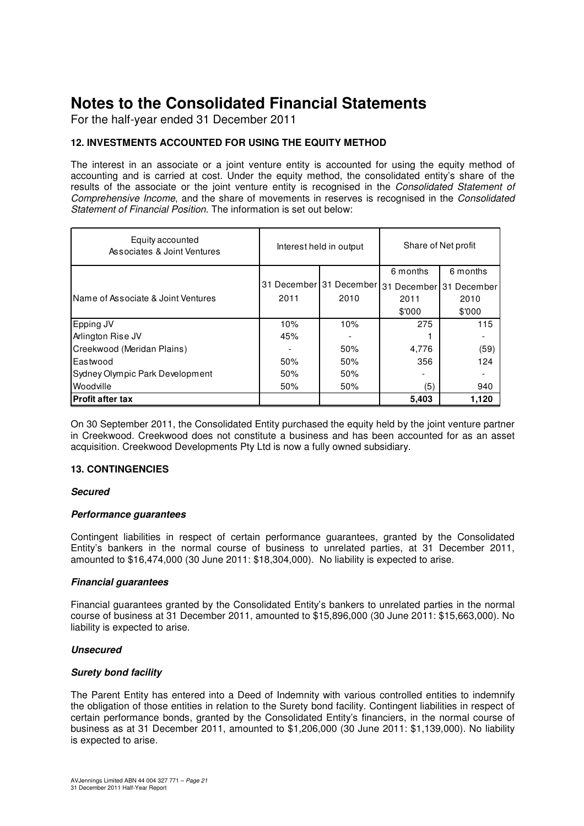For the half-year ended 31 December 2011

# **12. INVESTMENTS ACCOUNTED FOR USING THE EQUITY METHOD**

The interest in an associate or a joint venture entity is accounted for using the equity method of accounting and is carried at cost. Under the equity method, the consolidated entity's share of the results of the associate or the joint venture entity is recognised in the Consolidated Statement of Comprehensive Income, and the share of movements in reserves is recognised in the Consolidated Statement of Financial Position. The information is set out below:

| Equity accounted<br>Associates & Joint Ventures |      | Interest held in output | Share of Net profit |                         |  |
|-------------------------------------------------|------|-------------------------|---------------------|-------------------------|--|
|                                                 |      |                         | 6 months            | 6 months                |  |
|                                                 |      | 31 December 31 December |                     | 31 December 31 December |  |
| IName of Associate & Joint Ventures             | 2011 | 2010                    | 2011                | 2010                    |  |
|                                                 |      |                         | \$'000              | \$000                   |  |
| Epping JV                                       | 10%  | 10%                     | 275                 | 115                     |  |
| Arlington Rise JV                               | 45%  |                         |                     |                         |  |
| Creekwood (Meridan Plains)                      |      | 50%                     | 4,776               | (59)                    |  |
| Eastwood                                        | 50%  | 50%                     | 356                 | 124                     |  |
| Sydney Olympic Park Development                 | 50%  | 50%                     |                     |                         |  |
| Woodville                                       | 50%  | 50%                     | (5)                 | 940                     |  |
| <b>Profit after tax</b>                         |      |                         | 5,403               | 1.120                   |  |

On 30 September 2011, the Consolidated Entity purchased the equity held by the joint venture partner in Creekwood. Creekwood does not constitute a business and has been accounted for as an asset acquisition. Creekwood Developments Pty Ltd is now a fully owned subsidiary.

# **13. CONTINGENCIES**

### **Secured**

### **Performance guarantees**

Contingent liabilities in respect of certain performance guarantees, granted by the Consolidated Entity's bankers in the normal course of business to unrelated parties, at 31 December 2011, amounted to \$16,474,000 (30 June 2011: \$18,304,000). No liability is expected to arise.

### **Financial guarantees**

Financial guarantees granted by the Consolidated Entity's bankers to unrelated parties in the normal course of business at 31 December 2011, amounted to \$15,896,000 (30 June 2011: \$15,663,000). No liability is expected to arise.

### **Unsecured**

### **Surety bond facility**

The Parent Entity has entered into a Deed of Indemnity with various controlled entities to indemnify the obligation of those entities in relation to the Surety bond facility. Contingent liabilities in respect of certain performance bonds, granted by the Consolidated Entity's financiers, in the normal course of business as at 31 December 2011, amounted to \$1,206,000 (30 June 2011: \$1,139,000). No liability is expected to arise.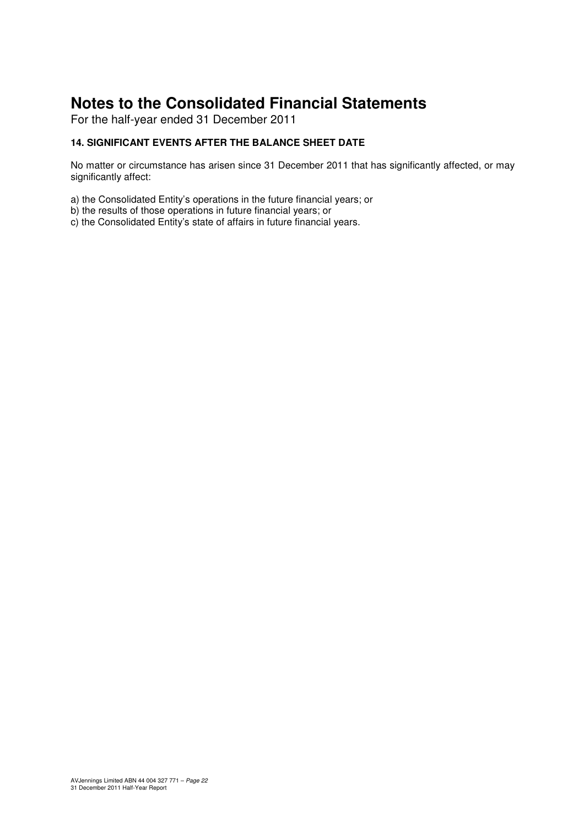For the half-year ended 31 December 2011

# **14. SIGNIFICANT EVENTS AFTER THE BALANCE SHEET DATE**

No matter or circumstance has arisen since 31 December 2011 that has significantly affected, or may significantly affect:

a) the Consolidated Entity's operations in the future financial years; or

b) the results of those operations in future financial years; or

c) the Consolidated Entity's state of affairs in future financial years.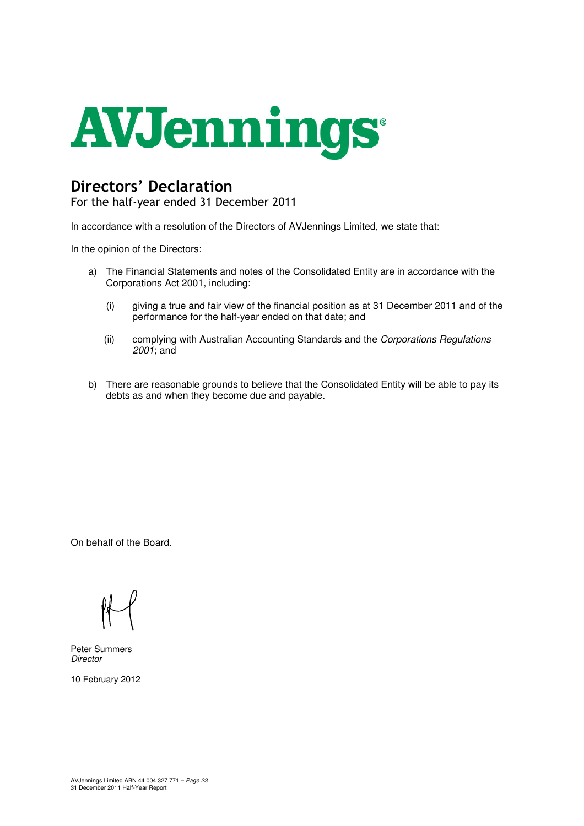

# Directors' Declaration

For the half-year ended 31 December 2011

In accordance with a resolution of the Directors of AVJennings Limited, we state that:

In the opinion of the Directors:

- a) The Financial Statements and notes of the Consolidated Entity are in accordance with the Corporations Act 2001, including:
	- (i) giving a true and fair view of the financial position as at 31 December 2011 and of the performance for the half-year ended on that date; and
	- (ii) complying with Australian Accounting Standards and the Corporations Regulations 2001; and
- b) There are reasonable grounds to believe that the Consolidated Entity will be able to pay its debts as and when they become due and payable.

On behalf of the Board.

Peter Summers **Director** 

10 February 2012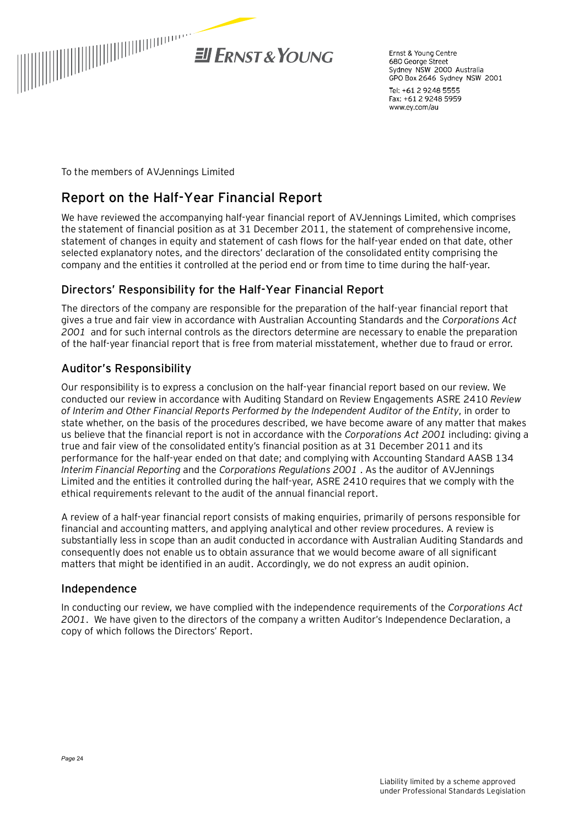

Ernst & Young Centre 680 George Street Sydney NSW 2000 Australia GPO Box 2646 Sydney NSW 2001

Tel: +61 2 9248 5555 Fax: +61 2 9248 5959 www.ev.com/au

To the members of AVJennings Limited

# **Report on the Half-Year Financial Report**

We have reviewed the accompanying half-year financial report of AVJennings Limited, which comprises the statement of financial position as at 31 December 2011, the statement of comprehensive income, statement of changes in equity and statement of cash flows for the half-year ended on that date, other selected explanatory notes, and the directors' declaration of the consolidated entity comprising the company and the entities it controlled at the period end or from time to time during the half-year.

# Directors' Responsibility for the Half-Year Financial Report

The directors of the company are responsible for the preparation of the half-year financial report that gives a true and fair view in accordance with Australian Accounting Standards and the *Corporations Act 2001* and for such internal controls as the directors determine are necessary to enable the preparation of the half-year financial report that is free from material misstatement, whether due to fraud or error.

# Auditor's Responsibility

Our responsibility is to express a conclusion on the half-year financial report based on our review. We conducted our review in accordance with Auditing Standard on Review Engagements ASRE 2410 *Review of Interim and Other Financial Reports Performed by the Independent Auditor of the Entity*, in order to state whether, on the basis of the procedures described, we have become aware of any matter that makes us believe that the financial report is not in accordance with the *Corporations Act 2001* including: giving a true and fair view of the consolidated entity's financial position as at 31 December 2011 and its performance for the half-year ended on that date; and complying with Accounting Standard AASB 134 *Interim Financial Reporting* and the *Corporations Regulations 2001* . As the auditor of AVJennings Limited and the entities it controlled during the half-year, ASRE 2410 requires that we comply with the ethical requirements relevant to the audit of the annual financial report.

A review of a half-year financial report consists of making enquiries, primarily of persons responsible for financial and accounting matters, and applying analytical and other review procedures. A review is substantially less in scope than an audit conducted in accordance with Australian Auditing Standards and consequently does not enable us to obtain assurance that we would become aware of all significant matters that might be identified in an audit. Accordingly, we do not express an audit opinion.

# Independence

In conducting our review, we have complied with the independence requirements of the *Corporations Act 2001*. We have given to the directors of the company a written Auditor's Independence Declaration, a copy of which follows the Directors' Report.